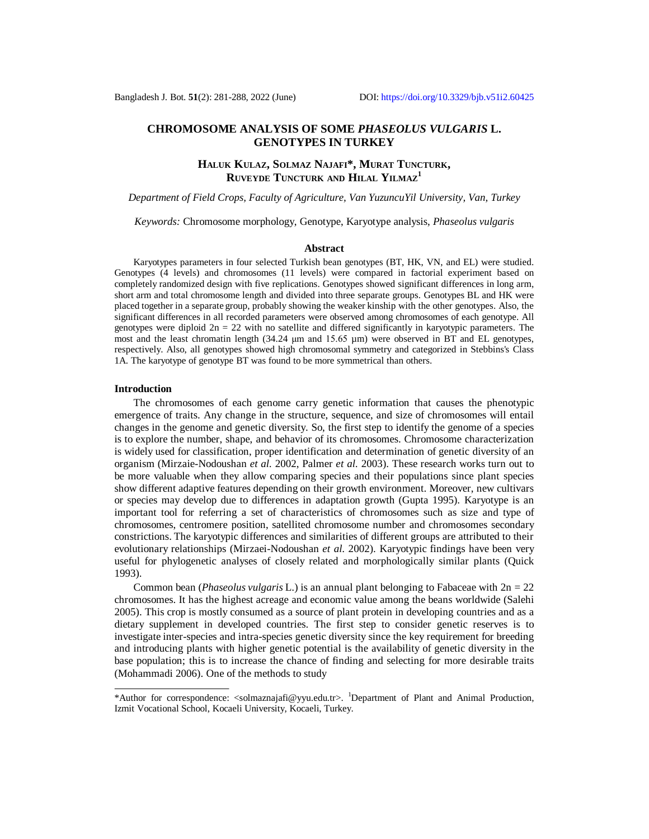# **CHROMOSOME ANALYSIS OF SOME** *PHASEOLUS VULGARIS* **L. GENOTYPES IN TURKEY**

## **HALUK KULAZ, SOLMAZ NAJAFI\*, MURAT TUNCTURK, RUVEYDE TUNCTURK AND HILAL YILMAZ<sup>1</sup>**

*Department of Field Crops, Faculty of Agriculture, Van YuzuncuYil University, Van, Turkey*

*Keywords:* Chromosome morphology, Genotype, Karyotype analysis, *Phaseolus vulgaris*

#### **Abstract**

Karyotypes parameters in four selected Turkish bean genotypes (BT, HK, VN, and EL) were studied. Genotypes (4 levels) and chromosomes (11 levels) were compared in factorial experiment based on completely randomized design with five replications. Genotypes showed significant differences in long arm, short arm and total chromosome length and divided into three separate groups. Genotypes BL and HK were placed together in a separate group, probably showing the weaker kinship with the other genotypes. Also, the significant differences in all recorded parameters were observed among chromosomes of each genotype. All genotypes were diploid  $2n = 22$  with no satellite and differed significantly in karyotypic parameters. The most and the least chromatin length (34.24 μm and 15.65 µm) were observed in BT and EL genotypes, respectively. Also, all genotypes showed high chromosomal symmetry and categorized in Stebbins's Class 1A. The karyotype of genotype BT was found to be more symmetrical than others.

### **Introduction**

The chromosomes of each genome carry genetic information that causes the phenotypic emergence of traits. Any change in the structure, sequence, and size of chromosomes will entail changes in the genome and genetic diversity. So, the first step to identify the genome of a species is to explore the number, shape, and behavior of its chromosomes. Chromosome characterization is widely used for classification, proper identification and determination of genetic diversity of an organism (Mirzaie-Nodoushan *et al.* 2002, Palmer *et al.* 2003). These research works turn out to be more valuable when they allow comparing species and their populations since plant species show different adaptive features depending on their growth environment. Moreover, new cultivars or species may develop due to differences in adaptation growth (Gupta 1995). Karyotype is an important tool for referring a set of characteristics of chromosomes such as size and type of chromosomes, centromere position, satellited chromosome number and chromosomes secondary constrictions. The karyotypic differences and similarities of different groups are attributed to their evolutionary relationships (Mirzaei-Nodoushan *et al.* 2002). Karyotypic findings have been very useful for phylogenetic analyses of closely related and morphologically similar plants (Quick 1993).

Common bean (*Phaseolus vulgaris* L.) is an annual plant belonging to Fabaceae with 2n = 22 chromosomes. It has the highest acreage and economic value among the beans worldwide (Salehi 2005). This crop is mostly consumed as a source of plant protein in developing countries and as a dietary supplement in developed countries. The first step to consider genetic reserves is to investigate inter-species and intra-species genetic diversity since the key requirement for breeding and introducing plants with higher genetic potential is the availability of genetic diversity in the base population; this is to increase the chance of finding and selecting for more desirable traits (Mohammadi 2006). One of the methods to study

<sup>\*</sup>Author for correspondence: <[solmaznajafi@yyu.edu.tr>](mailto:solmaznajafi@yyu.edu.tr). <sup>1</sup>Department of Plant and Animal Production, Izmit Vocational School, Kocaeli University, Kocaeli, Turkey.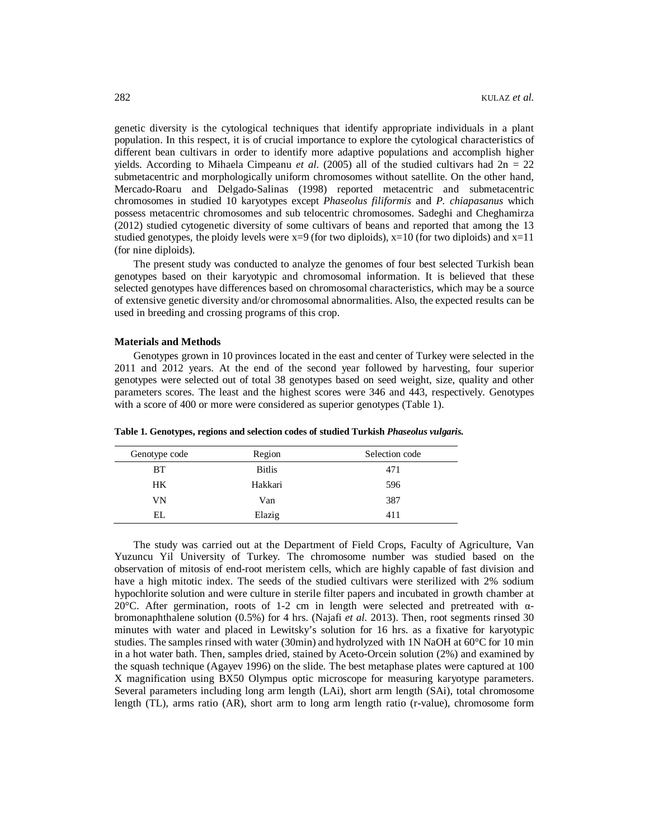genetic diversity is the cytological techniques that identify appropriate individuals in a plant population. In this respect, it is of crucial importance to explore the cytological characteristics of different bean cultivars in order to identify more adaptive populations and accomplish higher yields. According to Mihaela Cimpeanu *et al.* (2005) all of the studied cultivars had  $2n = 22$ submetacentric and morphologically uniform chromosomes without satellite. On the other hand, Mercado-Roaru and Delgado-Salinas (1998) reported metacentric and submetacentric chromosomes in studied 10 karyotypes except *Phaseolus filiformis* and *P. chiapasanus* which possess metacentric chromosomes and sub telocentric chromosomes. Sadeghi and Cheghamirza (2012) studied cytogenetic diversity of some cultivars of beans and reported that among the 13 studied genotypes, the ploidy levels were  $x=9$  (for two diploids),  $x=10$  (for two diploids) and  $x=11$ (for nine diploids).

The present study was conducted to analyze the genomes of four best selected Turkish bean genotypes based on their karyotypic and chromosomal information. It is believed that these selected genotypes have differences based on chromosomal characteristics, which may be a source of extensive genetic diversity and/or chromosomal abnormalities. Also, the expected results can be used in breeding and crossing programs of this crop.

#### **Materials and Methods**

Genotypes grown in 10 provinces located in the east and center of Turkey were selected in the 2011 and 2012 years. At the end of the second year followed by harvesting, four superior genotypes were selected out of total 38 genotypes based on seed weight, size, quality and other parameters scores. The least and the highest scores were 346 and 443, respectively. Genotypes with a score of 400 or more were considered as superior genotypes (Table 1).

| Genotype code | Region        | Selection code |
|---------------|---------------|----------------|
| <b>BT</b>     | <b>Bitlis</b> | 471            |
| HK.           | Hakkari       | 596            |
| VN            | Van           | 387            |
| EI.           | Elazig        | 411            |

**Table 1. Genotypes, regions and selection codes of studied Turkish** *Phaseolus vulgaris.*

The study was carried out at the Department of Field Crops, Faculty of Agriculture, Van Yuzuncu Yil University of Turkey. The chromosome number was studied based on the observation of mitosis of end-root meristem cells, which are highly capable of fast division and have a high mitotic index. The seeds of the studied cultivars were sterilized with 2% sodium hypochlorite solution and were culture in sterile filter papers and incubated in growth chamber at 20°C. After germination, roots of 1-2 cm in length were selected and pretreated with αbromonaphthalene solution (0.5%) for 4 hrs. (Najafi *et al.* 2013). Then, root segments rinsed 30 minutes with water and placed in Lewitsky's solution for 16 hrs. as a fixative for karyotypic studies. The samples rinsed with water (30min) and hydrolyzed with 1N NaOH at 60°C for 10 min in a hot water bath. Then, samples dried, stained by Aceto-Orcein solution (2%) and examined by the squash technique (Agayev 1996) on the slide. The best metaphase plates were captured at 100 X magnification using BX50 Olympus optic microscope for measuring karyotype parameters. Several parameters including long arm length (LAi), short arm length (SAi), total chromosome length (TL), arms ratio (AR), short arm to long arm length ratio (r-value), chromosome form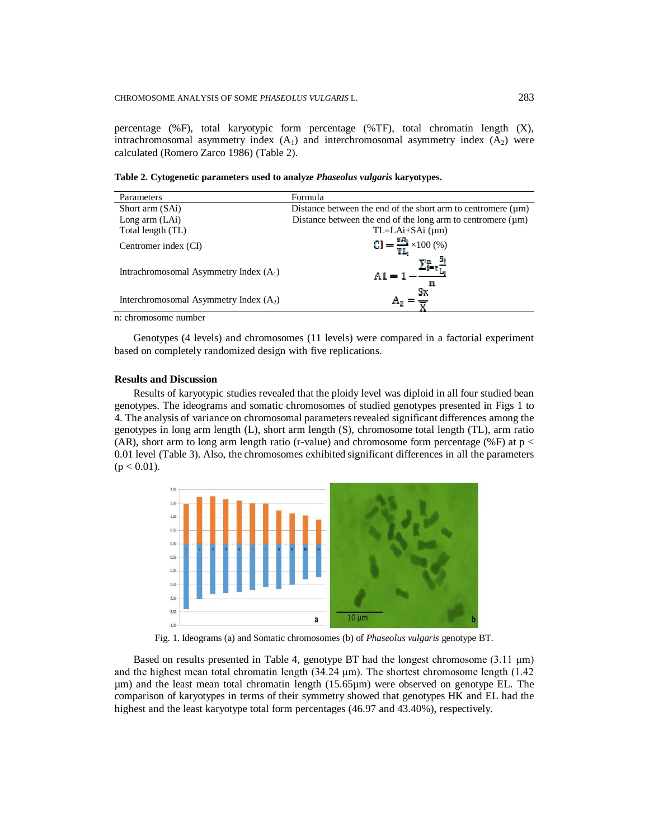percentage (%F), total karyotypic form percentage (%TF), total chromatin length (X), intrachromosomal asymmetry index  $(A<sub>1</sub>)$  and interchromosomal asymmetry index  $(A<sub>2</sub>)$  were calculated (Romero Zarco 1986) (Table 2).

**Table 2. Cytogenetic parameters used to analyze** *Phaseolus vulgaris* **karyotypes.**

| Parameters                               | Formula                                                           |
|------------------------------------------|-------------------------------------------------------------------|
| Short arm (SAi)                          | Distance between the end of the short arm to centromere $(\mu m)$ |
| Long arm $(LAi)$                         | Distance between the end of the long arm to centromere $(\mu m)$  |
| Total length (TL)                        | $TL=LAi+SAi$ ( $\mu$ m)                                           |
| Centromer index (CI)                     | $CI = \frac{{s_1}}{TL_1}{\times}100\,(%)$                         |
| Intrachromosomal Asymmetry Index $(A_1)$ | $A1 = 1$<br>m                                                     |
| Interchromosomal Asymmetry Index $(A_2)$ | Sx.                                                               |

n: chromosome number

Genotypes (4 levels) and chromosomes (11 levels) were compared in a factorial experiment based on completely randomized design with five replications.

#### **Results and Discussion**

Results of karyotypic studies revealed that the ploidy level was diploid in all four studied bean genotypes. The ideograms and somatic chromosomes of studied genotypes presented in Figs 1 to 4. The analysis of variance on chromosomal parameters revealed significant differences among the genotypes in long arm length (L), short arm length (S), chromosome total length (TL), arm ratio (AR), short arm to long arm length ratio (r-value) and chromosome form percentage (%F) at  $p <$ 0.01 level (Table 3). Also, the chromosomes exhibited significant differences in all the parameters  $(p < 0.01)$ .



Fig. 1. Ideograms (a) and Somatic chromosomes (b) of *Phaseolus vulgaris* genotype BT.

Based on results presented in Table 4, genotype BT had the longest chromosome  $(3.11 \mu m)$ and the highest mean total chromatin length (34.24 μm). The shortest chromosome length (1.42 µm) and the least mean total chromatin length (15.65µm) were observed on genotype EL. The comparison of karyotypes in terms of their symmetry showed that genotypes HK and EL had the highest and the least karyotype total form percentages (46.97 and 43.40%), respectively.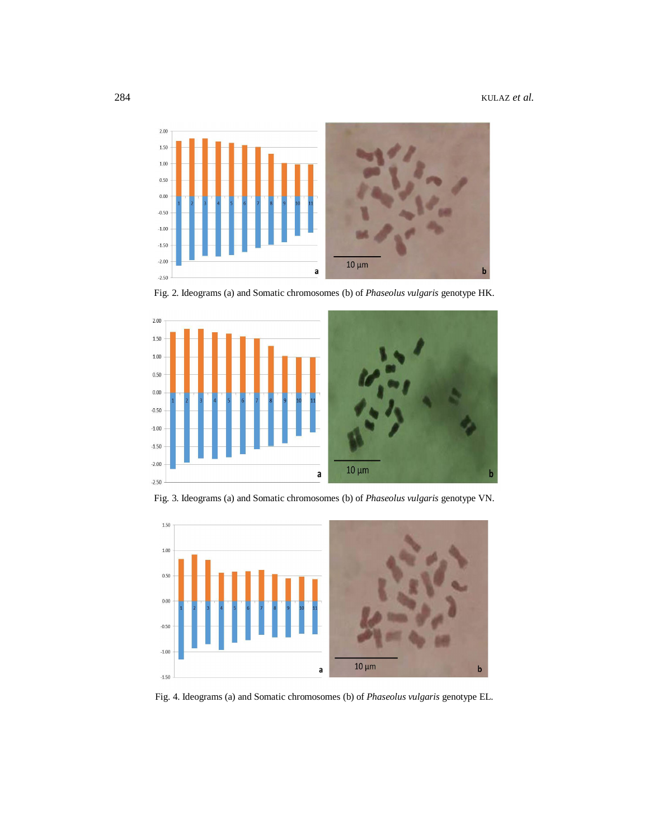

Fig. 2. Ideograms (a) and Somatic chromosomes (b) of *Phaseolus vulgaris* genotype HK.



Fig. 3. Ideograms (a) and Somatic chromosomes (b) of *Phaseolus vulgaris* genotype VN.



Fig. 4. Ideograms (a) and Somatic chromosomes (b) of *Phaseolus vulgaris* genotype EL.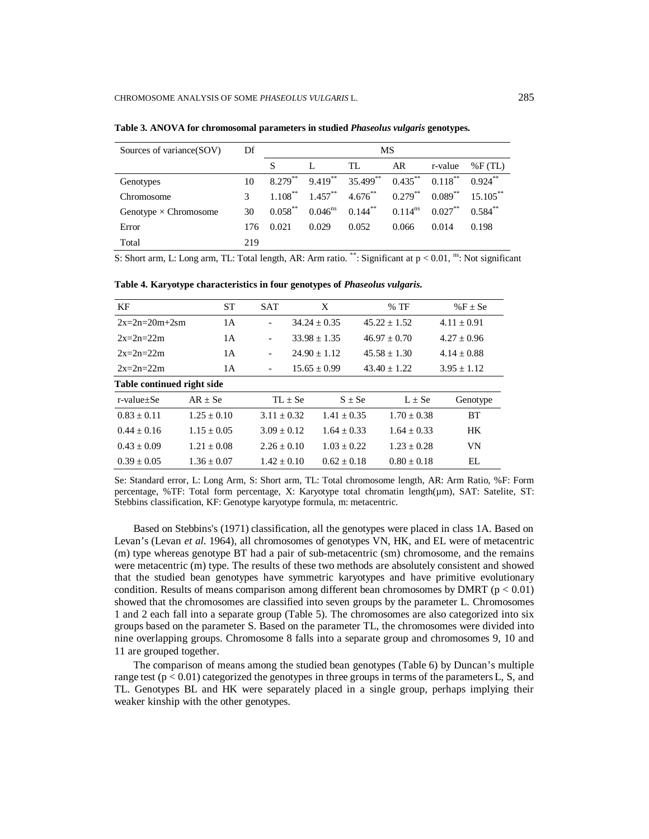| Sources of variance(SOV)     | Df  | MS         |              |            |              |            |             |
|------------------------------|-----|------------|--------------|------------|--------------|------------|-------------|
|                              |     | S          |              | TL         | AR           | r-value    | $\%$ F(TL)  |
| Genotypes                    | 10  | $8.279***$ | $9.419***$   | 35.499**   | $0.435***$   | $0.118***$ | $0.924***$  |
| Chromosome                   |     | $1.108***$ | $1.457***$   | $4.676***$ | $0.279***$   | $0.089***$ | $15.105***$ |
| Genotype $\times$ Chromosome | 30  | $0.058***$ | $0.046^{ns}$ | $0.144***$ | $0.114^{ns}$ | $0.027***$ | $0.584**$   |
| Error                        | 176 | 0.021      | 0.029        | 0.052      | 0.066        | 0.014      | 0.198       |
| Total                        | 219 |            |              |            |              |            |             |

**Table 3. ANOVA for chromosomal parameters in studied** *Phaseolus vulgaris* **genotypes.**

S: Short arm, L: Long arm, TL: Total length, AR: Arm ratio. \*\*: Significant at  $p < 0.01$ , <sup>ns</sup>: Not significant

| KF                         | <b>ST</b>     | <b>SAT</b>               | X                | $%$ TF                         | % $F \pm Se$  |  |  |
|----------------------------|---------------|--------------------------|------------------|--------------------------------|---------------|--|--|
| $2x=2n=20m+2sm$            | 1 A           |                          | $34.24 \pm 0.35$ | $45.22 \pm 1.52$               | $4.11 + 0.91$ |  |  |
| $2x=2n=22m$                | 1 A           | $\overline{\phantom{a}}$ | $33.98 + 1.35$   | $46.97 + 0.70$                 | $4.27 + 0.96$ |  |  |
| $2x=2n=22m$                | 1 A           |                          | $24.90 + 1.12$   | $45.58 + 1.30$                 | $4.14 + 0.88$ |  |  |
| $2x=2n=22m$                | 1 A           |                          | $15.65 \pm 0.99$ | $43.40 + 1.22$                 | $3.95 + 1.12$ |  |  |
| Table continued right side |               |                          |                  |                                |               |  |  |
| r-value+Se                 | $AR + Se$     |                          | $TL \pm Se$      | $S \pm Se$<br>$L \pm Se$       | Genotype      |  |  |
| $0.83 + 0.11$              | $1.25 + 0.10$ | $3.11 + 0.32$            |                  | $1.70 + 0.38$<br>$1.41 + 0.35$ | <b>BT</b>     |  |  |
| $0.44 + 0.16$              | $1.15 + 0.05$ | $3.09 + 0.12$            |                  | $1.64 + 0.33$<br>$1.64 + 0.33$ | <b>HK</b>     |  |  |
| $0.43 + 0.09$              | $1.21 + 0.08$ | $2.26 \pm 0.10$          |                  | $1.03 + 0.22$<br>$1.23 + 0.28$ | VN            |  |  |
| $0.39 + 0.05$              | $1.36 + 0.07$ | $1.42 + 0.10$            |                  | $0.80 + 0.18$<br>$0.62 + 0.18$ | EL            |  |  |

**Table 4. Karyotype characteristics in four genotypes of** *Phaseolus vulgaris.*

Se: Standard error, L: Long Arm, S: Short arm, TL: Total chromosome length, AR: Arm Ratio, %F: Form percentage, %TF: Total form percentage, X: Karyotype total chromatin length(um), SAT: Satelite, ST: Stebbins classification, KF: Genotype karyotype formula, m: metacentric.

Based on Stebbins's (1971) classification, all the genotypes were placed in class 1A. Based on Levan's (Levan *et al.* 1964), all chromosomes of genotypes VN, HK, and EL were of metacentric (m) type whereas genotype BT had a pair of sub-metacentric (sm) chromosome, and the remains were metacentric (m) type. The results of these two methods are absolutely consistent and showed that the studied bean genotypes have symmetric karyotypes and have primitive evolutionary condition. Results of means comparison among different bean chromosomes by DMRT ( $p < 0.01$ ) showed that the chromosomes are classified into seven groups by the parameter L. Chromosomes 1 and 2 each fall into a separate group (Table 5). The chromosomes are also categorized into six groups based on the parameter S. Based on the parameter TL, the chromosomes were divided into nine overlapping groups. Chromosome 8 falls into a separate group and chromosomes 9, 10 and 11 are grouped together.

The comparison of means among the studied bean genotypes (Table 6) by Duncan's multiple range test  $(p < 0.01)$  categorized the genotypes in three groups in terms of the parameters L, S, and TL. Genotypes BL and HK were separately placed in a single group, perhaps implying their weaker kinship with the other genotypes.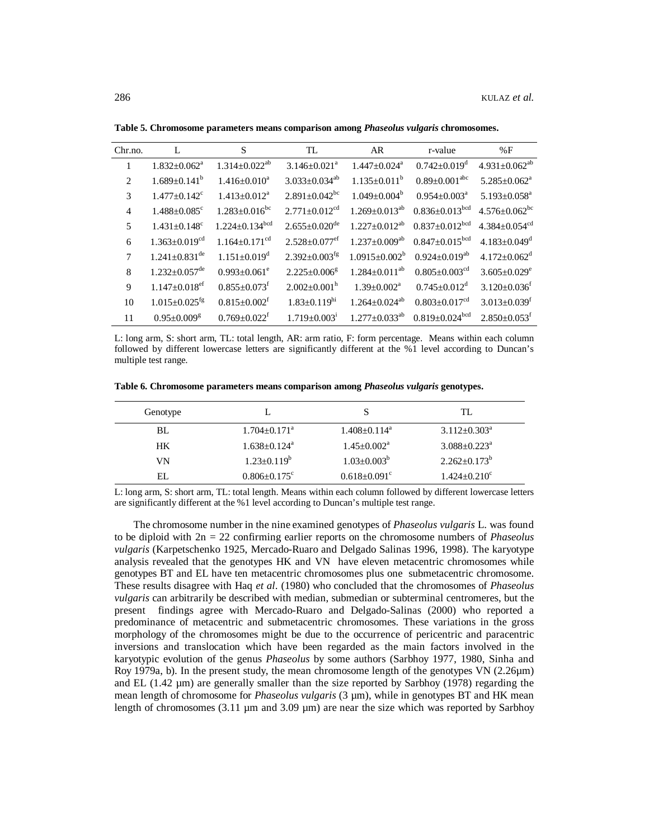| Chr.no. |                                 | S                                | TL                              | AR                           | r-value                          | %F                              |
|---------|---------------------------------|----------------------------------|---------------------------------|------------------------------|----------------------------------|---------------------------------|
| 1       | $1.832 \pm 0.062^a$             | $1.314 \pm 0.022^{ab}$           | $3.146 + 0.021^a$               | $1.447 + 0.024$ <sup>a</sup> | $0.742 \pm 0.019$ <sup>d</sup>   | $4.931 \pm 0.062^{ab}$          |
| 2       | $1.689 \pm 0.141^b$             | $1.416 + 0.010^a$                | $3.033 \pm 0.034^{ab}$          | $1.135 + 0.011^b$            | $0.89 \pm 0.001$ <sup>abc</sup>  | $5.285 + 0.062^a$               |
| 3       | $1.477 + 0.142^c$               | $1.413 + 0.012^a$                | $2.891 \pm 0.042$ <sup>bc</sup> | $1.049 + 0.004^b$            | $0.954 + 0.003a$                 | $5.193 + 0.058$ <sup>a</sup>    |
| 4       | $1.488 + 0.085$ <sup>c</sup>    | $1.283 \pm 0.016$ <sup>bc</sup>  | $2.771 \pm 0.012^{cd}$          | $1.269 \pm 0.013^{ab}$       | $0.836 \pm 0.013$ bcd            | $4.576 + 0.062$ <sup>bc</sup>   |
| 5       | $1.431 + 0.148$ <sup>c</sup>    | $1.224 \pm 0.134$ <sup>bcd</sup> | $2.655 \pm 0.020$ <sup>de</sup> | $1.227 \pm 0.012^{ab}$       | $0.837 \pm 0.012$ <sup>bcd</sup> | $4.384 \pm 0.054$ <sup>cd</sup> |
| 6       | $1.363 \pm 0.019^{cd}$          | $1.164 \pm 0.171$ <sup>cd</sup>  | $2.528 \pm 0.077$ <sup>ef</sup> | $1.237 \pm 0.009^{ab}$       | $0.847 \pm 0.015$ <sup>bcd</sup> | $4.183 + 0.049$ <sup>d</sup>    |
| 7       | $1.241 \pm 0.831$ <sup>de</sup> | $1.151 + 0.019$ <sup>d</sup>     | $2.392 \pm 0.003$ <sup>fg</sup> | $1.0915 \pm 0.002^b$         | $0.924 \pm 0.019^{ab}$           | $4.172 + 0.062^d$               |
| 8       | $1.232 \pm 0.057$ <sup>de</sup> | $0.993 + 0.061$ <sup>e</sup>     | $2.225+0.006^8$                 | $1.284 \pm 0.011^{ab}$       | $0.805 + 0.003$ <sup>cd</sup>    | $3.605 + 0.029^e$               |
| 9       | $1.147 \pm 0.018$ ef            | $0.855 + 0.073$ <sup>f</sup>     | $2.002 + 0.001$ <sup>h</sup>    | $1.39 + 0.002^a$             | $0.745 + 0.012^d$                | $3.120 + 0.036$ <sup>f</sup>    |
| 10      | $1.015 \pm 0.025$ <sup>fg</sup> | $0.815 + 0.002^t$                | $1.83+0.119hi$                  | $1.264 \pm 0.024^{ab}$       | $0.803 + 0.017$ <sup>cd</sup>    | $3.013 + 0.039$ <sup>f</sup>    |
| 11      | $0.95 \pm 0.009$ <sup>g</sup>   | $0.769 \pm 0.022^t$              | $1.719 + 0.0031$                | $1.277 \pm 0.033^{ab}$       | $0.819 \pm 0.024$ <sup>bcd</sup> | $2.850 \pm 0.053$ <sup>f</sup>  |

**Table 5. Chromosome parameters means comparison among** *Phaseolus vulgaris* **chromosomes.**

L: long arm, S: short arm, TL: total length, AR: arm ratio, F: form percentage. Means within each column followed by different lowercase letters are significantly different at the %1 level according to Duncan's multiple test range.

**Table 6. Chromosome parameters means comparison among** *Phaseolus vulgaris* **genotypes.**

| Genotype  | .,                             |                                | TL.                            |  |
|-----------|--------------------------------|--------------------------------|--------------------------------|--|
| BL        | $1.704 \pm 0.171$ <sup>a</sup> | $1.408 \pm 0.114$ <sup>a</sup> | $3.112 + 0.303^a$              |  |
| <b>HK</b> | $1.638 \pm 0.124$ <sup>a</sup> | $1.45 + 0.002^a$               | $3.088 \pm 0.223$ <sup>a</sup> |  |
| VN        | $1.23 + 0.119^b$               | $1.03 + 0.003^b$               | $2.262 \pm 0.173^b$            |  |
| EI.       | $0.806 \pm 0.175$ <sup>c</sup> | $0.618 + 0.091$ <sup>c</sup>   | $1.424 \pm 0.210$ <sup>c</sup> |  |

L: long arm, S: short arm, TL: total length. Means within each column followed by different lowercase letters are significantly different at the %1 level according to Duncan's multiple test range.

The chromosome number in the nine examined genotypes of *Phaseolus vulgaris* L. was found to be diploid with 2n = 22 confirming earlier reports on the chromosome numbers of *Phaseolus vulgaris* (Karpetschenko 1925, Mercado-Ruaro and Delgado Salinas 1996, 1998). The karyotype analysis revealed that the genotypes HK and VN have eleven metacentric chromosomes while genotypes BT and EL have ten metacentric chromosomes plus one submetacentric chromosome. These results disagree with Haq *et al*. (1980) who concluded that the chromosomes of *Phaseolus vulgaris* can arbitrarily be described with median, submedian or subterminal centromeres, but the present findings agree with Mercado-Ruaro and Delgado-Salinas (2000) who reported a predominance of metacentric and submetacentric chromosomes. These variations in the gross morphology of the chromosomes might be due to the occurrence of pericentric and paracentric inversions and translocation which have been regarded as the main factors involved in the karyotypic evolution of the genus *Phaseolus* by some authors (Sarbhoy 1977, 1980, Sinha and Roy 1979a, b). In the present study, the mean chromosome length of the genotypes VN (2.26µm) and EL (1.42 µm) are generally smaller than the size reported by Sarbhoy (1978) regarding the mean length of chromosome for *Phaseolus vulgaris* (3  $\mu$ m), while in genotypes BT and HK mean length of chromosomes  $(3.11 \mu m$  and  $3.09 \mu m)$  are near the size which was reported by Sarbhoy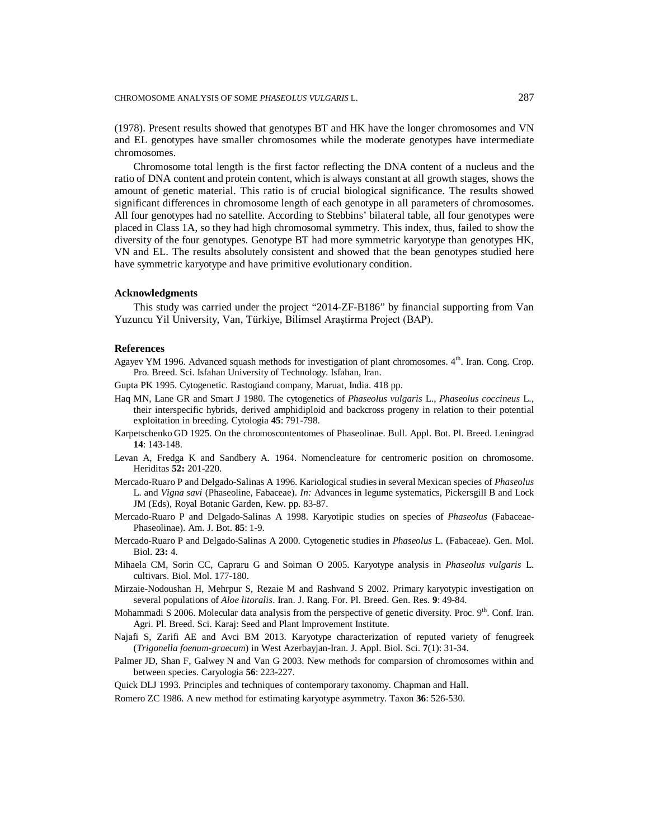(1978). Present results showed that genotypes BT and HK have the longer chromosomes and VN and EL genotypes have smaller chromosomes while the moderate genotypes have intermediate chromosomes.

Chromosome total length is the first factor reflecting the DNA content of a nucleus and the ratio of DNA content and protein content, which is always constant at all growth stages, shows the amount of genetic material. This ratio is of crucial biological significance. The results showed significant differences in chromosome length of each genotype in all parameters of chromosomes. All four genotypes had no satellite. According to Stebbins' bilateral table, all four genotypes were placed in Class 1A, so they had high chromosomal symmetry. This index, thus, failed to show the diversity of the four genotypes. Genotype BT had more symmetric karyotype than genotypes HK, VN and EL. The results absolutely consistent and showed that the bean genotypes studied here have symmetric karyotype and have primitive evolutionary condition.

#### **Acknowledgments**

This study was carried under the project "2014-ZF-B186" by financial supporting from Van Yuzuncu Yil University, Van, Türkiye, Bilimsel Araştirma Project (BAP).

### **References**

- Agayev YM 1996. Advanced squash methods for investigation of plant chromosomes. 4th. Iran. Cong. Crop. Pro. Breed. Sci. Isfahan University of Technology. Isfahan, Iran.
- Gupta PK 1995. Cytogenetic. Rastogiand company, Maruat, India. 418 pp.
- Haq MN, Lane GR and Smart J 1980. The cytogenetics of *Phaseolus vulgaris* L., *Phaseolus coccineus* L., their interspecific hybrids, derived amphidiploid and backcross progeny in relation to their potential exploitation in breeding. Cytologia **45**: 791-798.
- Karpetschenko GD 1925. On the chromoscontentomes of Phaseolinae. Bull. Appl. Bot. Pl. Breed. Leningrad **14**: 143-148.
- Levan A, Fredga K and Sandbery A. 1964. Nomencleature for centromeric position on chromosome. Heriditas **52:** 201-220.
- Mercado-Ruaro P and Delgado-Salinas A 1996. Kariological studies in several Mexican species of *Phaseolus* L. and *Vigna savi* (Phaseoline, Fabaceae). *In:* Advances in legume systematics, Pickersgill B and Lock JM (Eds), Royal Botanic Garden, Kew. pp. 83-87.
- Mercado-Ruaro P and Delgado-Salinas A 1998. Karyotipic studies on species of *Phaseolus* (Fabaceae-Phaseolinae). Am. J. Bot. **85**: 1-9.
- Mercado-Ruaro P and Delgado-Salinas A 2000. Cytogenetic studies in *Phaseolus* L. (Fabaceae). Gen. Mol. Biol. **23:** 4.
- Mihaela CM, Sorin CC, Capraru G and Soiman O 2005. Karyotype analysis in *Phaseolus vulgaris* L. cultivars. Biol. Mol. 177-180.
- Mirzaie-Nodoushan H, Mehrpur S, Rezaie M and Rashvand S 2002. Primary karyotypic investigation on several populations of *Aloe litoralis*. Iran. J. Rang. For. Pl. Breed. Gen. Res. **9**: 49-84.
- Mohammadi S 2006. Molecular data analysis from the perspective of genetic diversity. Proc. 9<sup>th</sup>. Conf. Iran. Agri. Pl. Breed. Sci. Karaj: Seed and Plant Improvement Institute.
- Najafi S, Zarifi AE and Avci BM 2013. Karyotype characterization of reputed variety of fenugreek (*Trigonella foenum-graecum*) in West Azerbayjan-Iran. J. Appl. Biol. Sci. **7**(1): 31-34.
- Palmer JD, Shan F, Galwey N and Van G 2003. New methods for comparsion of chromosomes within and between species. Caryologia **56**: 223-227.
- Quick DLJ 1993. Principles and techniques of contemporary taxonomy. Chapman and Hall.
- Romero ZC 1986. A new method for estimating karyotype asymmetry. Taxon **36**: 526-530.